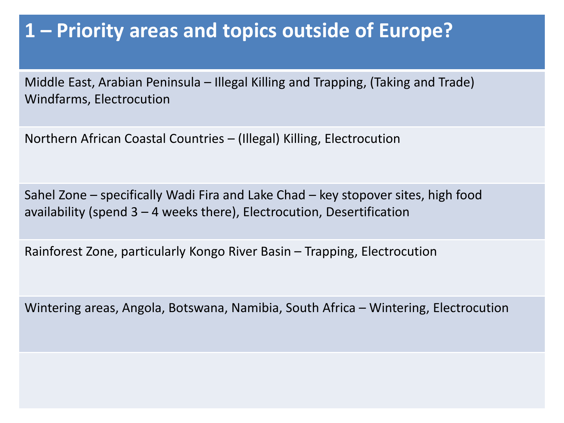### **1 – Priority areas and topics outside of Europe?**

Middle East, Arabian Peninsula – Illegal Killing and Trapping, (Taking and Trade) Windfarms, Electrocution

Northern African Coastal Countries – (Illegal) Killing, Electrocution

Sahel Zone – specifically Wadi Fira and Lake Chad – key stopover sites, high food availability (spend 3 – 4 weeks there), Electrocution, Desertification

Rainforest Zone, particularly Kongo River Basin – Trapping, Electrocution

Wintering areas, Angola, Botswana, Namibia, South Africa – Wintering, Electrocution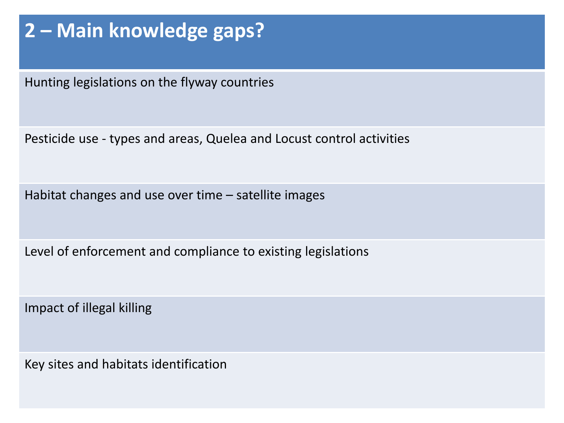## **2 – Main knowledge gaps?**

Hunting legislations on the flyway countries

Pesticide use - types and areas, Quelea and Locust control activities

Habitat changes and use over time – satellite images

Level of enforcement and compliance to existing legislations

Impact of illegal killing

Key sites and habitats identification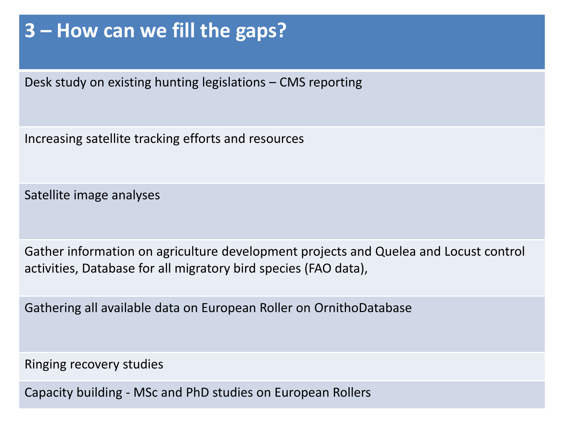## **3 – How can we fill the gaps?**

Desk study on existing hunting legislations – CMS reporting

Increasing satellite tracking efforts and resources

Satellite image analyses

Gather information on agriculture development projects and Quelea and Locust control activities, Database for all migratory bird species (FAO data),

Gathering all available data on European Roller on OrnithoDatabase

Ringing recovery studies

Capacity building - MSc and PhD studies on European Rollers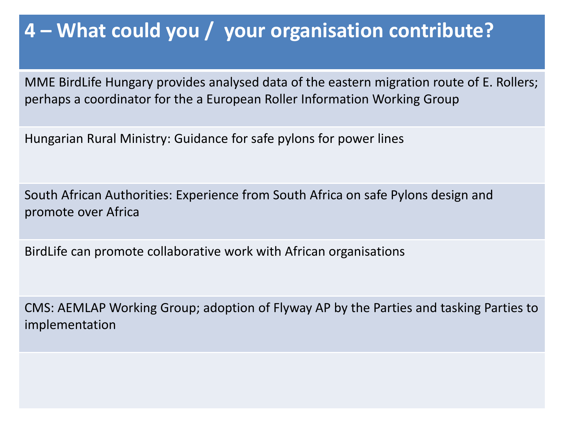### **4 – What could you / your organisation contribute?**

MME BirdLife Hungary provides analysed data of the eastern migration route of E. Rollers; perhaps a coordinator for the a European Roller Information Working Group

Hungarian Rural Ministry: Guidance for safe pylons for power lines

South African Authorities: Experience from South Africa on safe Pylons design and promote over Africa

BirdLife can promote collaborative work with African organisations

CMS: AEMLAP Working Group; adoption of Flyway AP by the Parties and tasking Parties to implementation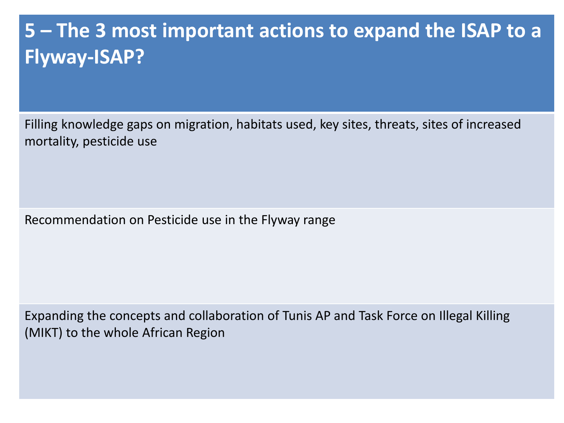# **5 – The 3 most important actions to expand the ISAP to a Flyway-ISAP?**

Filling knowledge gaps on migration, habitats used, key sites, threats, sites of increased mortality, pesticide use

Recommendation on Pesticide use in the Flyway range

Expanding the concepts and collaboration of Tunis AP and Task Force on Illegal Killing (MIKT) to the whole African Region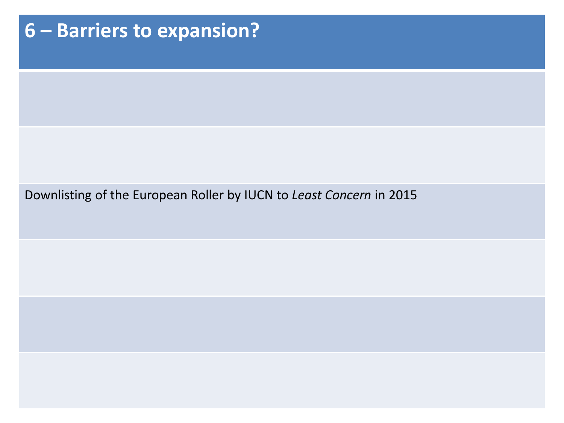# **6 – Barriers to expansion?** Downlisting of the European Roller by IUCN to *Least Concern* in 2015